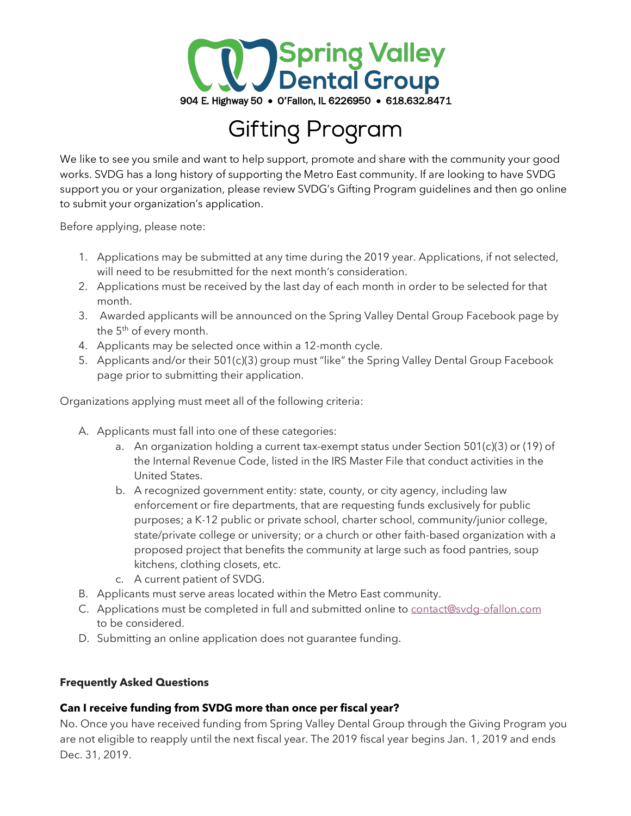

# Gifting Program

We like to see you smile and want to help support, promote and share with the community your good works. SVDG has a long history of supporting the Metro East community. If are looking to have SVDG support you or your organization, please review SVDG's Gifting Program guidelines and then go online to submit your organization's application.

Before applying, please note:

- 1. Applications may be submitted at any time during the 2019 year. Applications, if not selected, will need to be resubmitted for the next month's consideration.
- 2. Applications must be received by the last day of each month in order to be selected for that month.
- 3. Awarded applicants will be announced on the Spring Valley Dental Group Facebook page by the 5<sup>th</sup> of every month.
- 4. Applicants may be selected once within a 12-month cycle.
- 5. Applicants and/or their 501(c)(3) group must "like" the Spring Valley Dental Group Facebook page prior to submitting their application.

Organizations applying must meet all of the following criteria:

- A. Applicants must fall into one of these categories:
	- a. An organization holding a current tax-exempt status under Section  $501(c)(3)$  or (19) of the Internal Revenue Code, listed in the IRS Master File that conduct activities in the United States.
	- b. A recognized government entity: state, county, or city agency, including law enforcement or fire departments, that are requesting funds exclusively for public purposes; a K-12 public or private school, charter school, community/junior college, state/private college or university; or a church or other faith-based organization with a proposed project that benefits the community at large such as food pantries, soup kitchens, clothing closets, etc.
	- c. A current patient of SVDG.
- B. Applicants must serve areas located within the Metro East community.
- C. Applications must be completed in full and submitted online to contact@svdg-ofallon.com to be considered.
- D. Submitting an online application does not guarantee funding.

### **Frequently Asked Questions**

# **Can I receive funding from SVDG more than once per fiscal year?**

No. Once you have received funding from Spring Valley Dental Group through the Giving Program you are not eligible to reapply until the next fiscal year. The 2019 fiscal year begins Jan. 1, 2019 and ends Dec. 31, 2019.